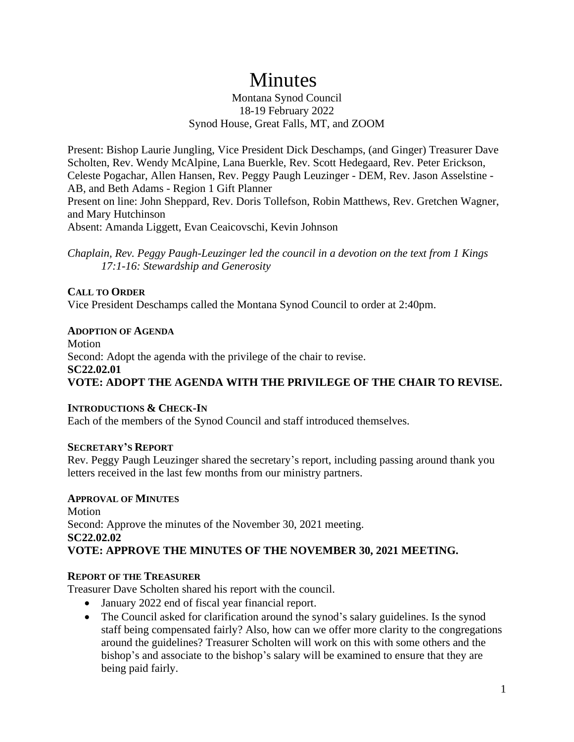# Minutes

## Montana Synod Council 18-19 February 2022 Synod House, Great Falls, MT, and ZOOM

Present: Bishop Laurie Jungling, Vice President Dick Deschamps, (and Ginger) Treasurer Dave Scholten, Rev. Wendy McAlpine, Lana Buerkle, Rev. Scott Hedegaard, Rev. Peter Erickson, Celeste Pogachar, Allen Hansen, Rev. Peggy Paugh Leuzinger - DEM, Rev. Jason Asselstine - AB, and Beth Adams - Region 1 Gift Planner Present on line: John Sheppard, Rev. Doris Tollefson, Robin Matthews, Rev. Gretchen Wagner, and Mary Hutchinson

Absent: Amanda Liggett, Evan Ceaicovschi, Kevin Johnson

*Chaplain, Rev. Peggy Paugh-Leuzinger led the council in a devotion on the text from 1 Kings 17:1-16: Stewardship and Generosity*

# **CALL TO ORDER**

Vice President Deschamps called the Montana Synod Council to order at 2:40pm.

# **ADOPTION OF AGENDA**

Motion Second: Adopt the agenda with the privilege of the chair to revise. **SC22.02.01 VOTE: ADOPT THE AGENDA WITH THE PRIVILEGE OF THE CHAIR TO REVISE.**

# **INTRODUCTIONS & CHECK-IN**

Each of the members of the Synod Council and staff introduced themselves.

# **SECRETARY'S REPORT**

Rev. Peggy Paugh Leuzinger shared the secretary's report, including passing around thank you letters received in the last few months from our ministry partners.

# **APPROVAL OF MINUTES**

Motion Second: Approve the minutes of the November 30, 2021 meeting. **SC22.02.02 VOTE: APPROVE THE MINUTES OF THE NOVEMBER 30, 2021 MEETING.**

# **REPORT OF THE TREASURER**

Treasurer Dave Scholten shared his report with the council.

- January 2022 end of fiscal year financial report.
- The Council asked for clarification around the synod's salary guidelines. Is the synod staff being compensated fairly? Also, how can we offer more clarity to the congregations around the guidelines? Treasurer Scholten will work on this with some others and the bishop's and associate to the bishop's salary will be examined to ensure that they are being paid fairly.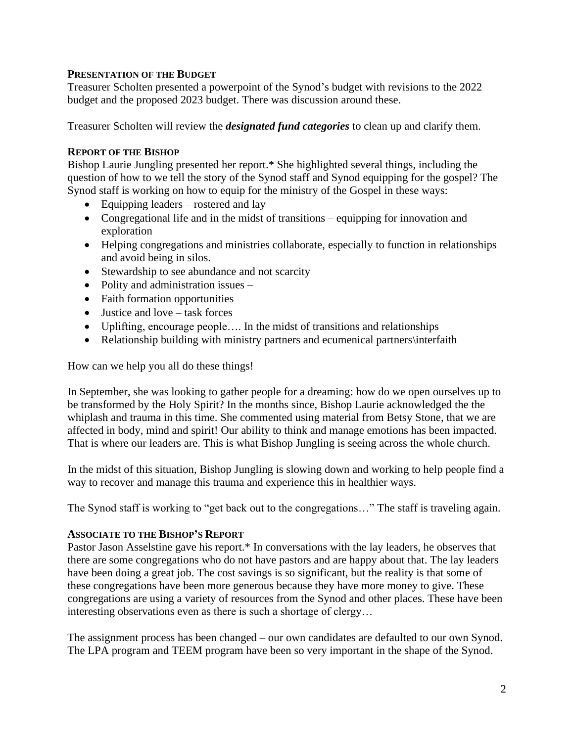## **PRESENTATION OF THE BUDGET**

Treasurer Scholten presented a powerpoint of the Synod's budget with revisions to the 2022 budget and the proposed 2023 budget. There was discussion around these.

Treasurer Scholten will review the *designated fund categories* to clean up and clarify them.

## **REPORT OF THE BISHOP**

Bishop Laurie Jungling presented her report.\* She highlighted several things, including the question of how to we tell the story of the Synod staff and Synod equipping for the gospel? The Synod staff is working on how to equip for the ministry of the Gospel in these ways:

- Equipping leaders rostered and lay
- Congregational life and in the midst of transitions equipping for innovation and exploration
- Helping congregations and ministries collaborate, especially to function in relationships and avoid being in silos.
- Stewardship to see abundance and not scarcity
- Polity and administration issues –
- Faith formation opportunities
- Justice and love task forces
- Uplifting, encourage people.... In the midst of transitions and relationships
- Relationship building with ministry partners and ecumenical partners\interfaith

How can we help you all do these things!

In September, she was looking to gather people for a dreaming: how do we open ourselves up to be transformed by the Holy Spirit? In the months since, Bishop Laurie acknowledged the the whiplash and trauma in this time. She commented using material from Betsy Stone, that we are affected in body, mind and spirit! Our ability to think and manage emotions has been impacted. That is where our leaders are. This is what Bishop Jungling is seeing across the whole church.

In the midst of this situation, Bishop Jungling is slowing down and working to help people find a way to recover and manage this trauma and experience this in healthier ways.

The Synod staff is working to "get back out to the congregations…" The staff is traveling again.

#### **ASSOCIATE TO THE BISHOP'S REPORT**

Pastor Jason Asselstine gave his report.\* In conversations with the lay leaders, he observes that there are some congregations who do not have pastors and are happy about that. The lay leaders have been doing a great job. The cost savings is so significant, but the reality is that some of these congregations have been more generous because they have more money to give. These congregations are using a variety of resources from the Synod and other places. These have been interesting observations even as there is such a shortage of clergy…

The assignment process has been changed – our own candidates are defaulted to our own Synod. The LPA program and TEEM program have been so very important in the shape of the Synod.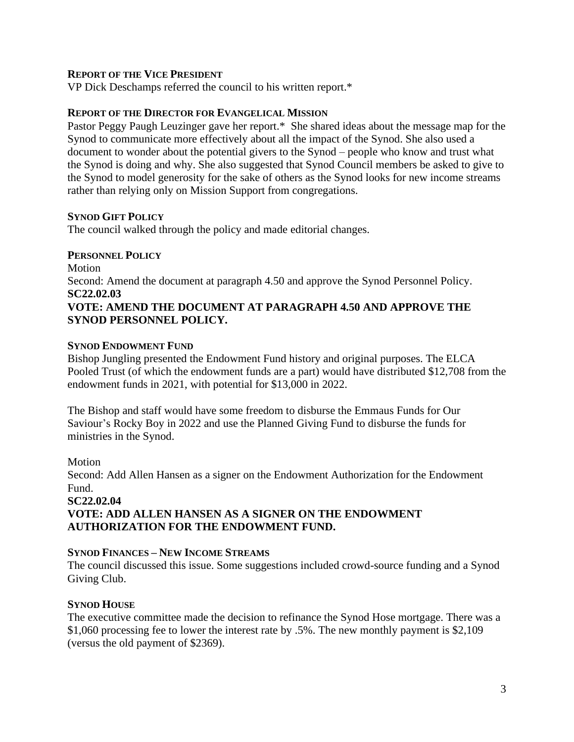#### **REPORT OF THE VICE PRESIDENT**

VP Dick Deschamps referred the council to his written report.\*

#### **REPORT OF THE DIRECTOR FOR EVANGELICAL MISSION**

Pastor Peggy Paugh Leuzinger gave her report.\* She shared ideas about the message map for the Synod to communicate more effectively about all the impact of the Synod. She also used a document to wonder about the potential givers to the Synod – people who know and trust what the Synod is doing and why. She also suggested that Synod Council members be asked to give to the Synod to model generosity for the sake of others as the Synod looks for new income streams rather than relying only on Mission Support from congregations.

#### **SYNOD GIFT POLICY**

The council walked through the policy and made editorial changes.

#### **PERSONNEL POLICY**

Motion Second: Amend the document at paragraph 4.50 and approve the Synod Personnel Policy. **SC22.02.03 VOTE: AMEND THE DOCUMENT AT PARAGRAPH 4.50 AND APPROVE THE SYNOD PERSONNEL POLICY.**

#### **SYNOD ENDOWMENT FUND**

Bishop Jungling presented the Endowment Fund history and original purposes. The ELCA Pooled Trust (of which the endowment funds are a part) would have distributed \$12,708 from the endowment funds in 2021, with potential for \$13,000 in 2022.

The Bishop and staff would have some freedom to disburse the Emmaus Funds for Our Saviour's Rocky Boy in 2022 and use the Planned Giving Fund to disburse the funds for ministries in the Synod.

#### Motion

Second: Add Allen Hansen as a signer on the Endowment Authorization for the Endowment Fund.

## **SC22.02.04 VOTE: ADD ALLEN HANSEN AS A SIGNER ON THE ENDOWMENT AUTHORIZATION FOR THE ENDOWMENT FUND.**

#### **SYNOD FINANCES – NEW INCOME STREAMS**

The council discussed this issue. Some suggestions included crowd-source funding and a Synod Giving Club.

#### **SYNOD HOUSE**

The executive committee made the decision to refinance the Synod Hose mortgage. There was a \$1,060 processing fee to lower the interest rate by .5%. The new monthly payment is \$2,109 (versus the old payment of \$2369).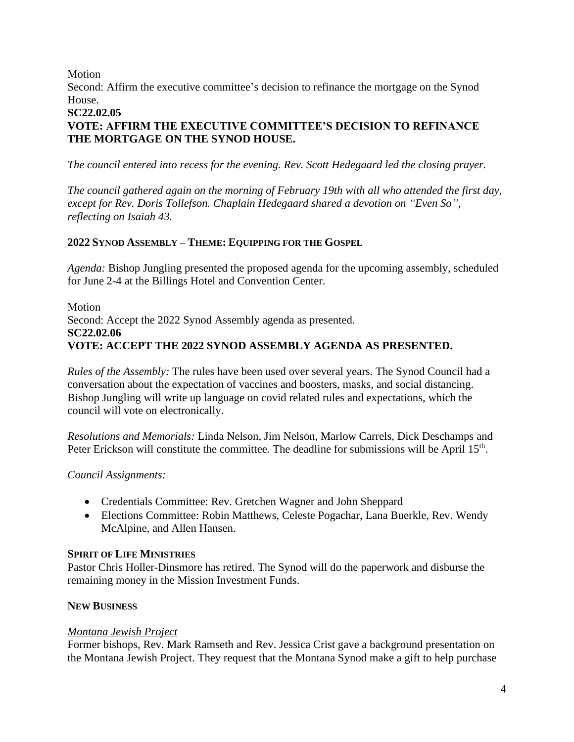Motion

Second: Affirm the executive committee's decision to refinance the mortgage on the Synod House.

## **SC22.02.05**

# **VOTE: AFFIRM THE EXECUTIVE COMMITTEE'S DECISION TO REFINANCE THE MORTGAGE ON THE SYNOD HOUSE.**

*The council entered into recess for the evening. Rev. Scott Hedegaard led the closing prayer.* 

*The council gathered again on the morning of February 19th with all who attended the first day, except for Rev. Doris Tollefson. Chaplain Hedegaard shared a devotion on "Even So", reflecting on Isaiah 43.* 

# **2022 SYNOD ASSEMBLY – THEME: EQUIPPING FOR THE GOSPEL**

*Agenda:* Bishop Jungling presented the proposed agenda for the upcoming assembly, scheduled for June 2-4 at the Billings Hotel and Convention Center.

Motion Second: Accept the 2022 Synod Assembly agenda as presented. **SC22.02.06 VOTE: ACCEPT THE 2022 SYNOD ASSEMBLY AGENDA AS PRESENTED.**

*Rules of the Assembly:* The rules have been used over several years. The Synod Council had a conversation about the expectation of vaccines and boosters, masks, and social distancing. Bishop Jungling will write up language on covid related rules and expectations, which the council will vote on electronically.

*Resolutions and Memorials:* Linda Nelson, Jim Nelson, Marlow Carrels, Dick Deschamps and Peter Erickson will constitute the committee. The deadline for submissions will be April 15<sup>th</sup>.

# *Council Assignments:*

- Credentials Committee: Rev. Gretchen Wagner and John Sheppard
- Elections Committee: Robin Matthews, Celeste Pogachar, Lana Buerkle, Rev. Wendy McAlpine, and Allen Hansen.

# **SPIRIT OF LIFE MINISTRIES**

Pastor Chris Holler-Dinsmore has retired. The Synod will do the paperwork and disburse the remaining money in the Mission Investment Funds.

# **NEW BUSINESS**

# *Montana Jewish Project*

Former bishops, Rev. Mark Ramseth and Rev. Jessica Crist gave a background presentation on the Montana Jewish Project. They request that the Montana Synod make a gift to help purchase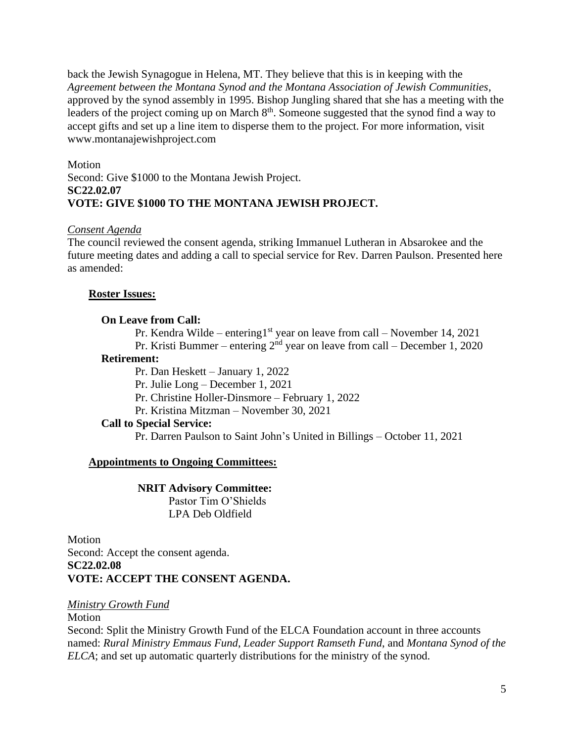back the Jewish Synagogue in Helena, MT. They believe that this is in keeping with the *Agreement between the Montana Synod and the Montana Association of Jewish Communities,* approved by the synod assembly in 1995. Bishop Jungling shared that she has a meeting with the leaders of the project coming up on March 8<sup>th</sup>. Someone suggested that the synod find a way to accept gifts and set up a line item to disperse them to the project. For more information, visit www.montanajewishproject.com

Motion Second: Give \$1000 to the Montana Jewish Project. **SC22.02.07 VOTE: GIVE \$1000 TO THE MONTANA JEWISH PROJECT.**

#### *Consent Agenda*

The council reviewed the consent agenda, striking Immanuel Lutheran in Absarokee and the future meeting dates and adding a call to special service for Rev. Darren Paulson. Presented here as amended:

#### **Roster Issues:**

#### **On Leave from Call:**

Pr. Kendra Wilde – entering1<sup>st</sup> year on leave from call – November 14, 2021 Pr. Kristi Bummer – entering  $2<sup>nd</sup>$  year on leave from call – December 1, 2020

#### **Retirement:**

Pr. Dan Heskett – January 1, 2022 Pr. Julie Long – December 1, 2021 Pr. Christine Holler-Dinsmore – February 1, 2022 Pr. Kristina Mitzman – November 30, 2021

#### **Call to Special Service:**

Pr. Darren Paulson to Saint John's United in Billings – October 11, 2021

#### **Appointments to Ongoing Committees:**

#### **NRIT Advisory Committee:**

Pastor Tim O'Shields LPA Deb Oldfield

Motion Second: Accept the consent agenda. **SC22.02.08 VOTE: ACCEPT THE CONSENT AGENDA.**

#### *Ministry Growth Fund*

#### Motion

Second: Split the Ministry Growth Fund of the ELCA Foundation account in three accounts named: *Rural Ministry Emmaus Fund*, *Leader Support Ramseth Fund*, and *Montana Synod of the ELCA*; and set up automatic quarterly distributions for the ministry of the synod.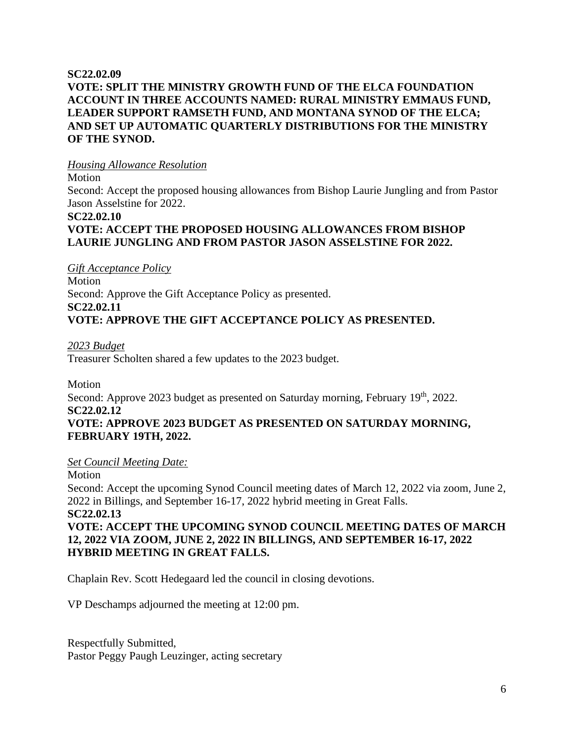## **SC22.02.09 VOTE: SPLIT THE MINISTRY GROWTH FUND OF THE ELCA FOUNDATION ACCOUNT IN THREE ACCOUNTS NAMED: RURAL MINISTRY EMMAUS FUND, LEADER SUPPORT RAMSETH FUND, AND MONTANA SYNOD OF THE ELCA; AND SET UP AUTOMATIC QUARTERLY DISTRIBUTIONS FOR THE MINISTRY OF THE SYNOD.**

## *Housing Allowance Resolution*

Motion

Second: Accept the proposed housing allowances from Bishop Laurie Jungling and from Pastor Jason Asselstine for 2022.

# **SC22.02.10**

# **VOTE: ACCEPT THE PROPOSED HOUSING ALLOWANCES FROM BISHOP LAURIE JUNGLING AND FROM PASTOR JASON ASSELSTINE FOR 2022.**

*Gift Acceptance Policy*

Motion Second: Approve the Gift Acceptance Policy as presented. **SC22.02.11 VOTE: APPROVE THE GIFT ACCEPTANCE POLICY AS PRESENTED.**

*2023 Budget* Treasurer Scholten shared a few updates to the 2023 budget.

Motion

Second: Approve 2023 budget as presented on Saturday morning, February 19th, 2022. **SC22.02.12**

# **VOTE: APPROVE 2023 BUDGET AS PRESENTED ON SATURDAY MORNING, FEBRUARY 19TH, 2022.**

# *Set Council Meeting Date:*

Motion

Second: Accept the upcoming Synod Council meeting dates of March 12, 2022 via zoom, June 2, 2022 in Billings, and September 16-17, 2022 hybrid meeting in Great Falls. **SC22.02.13**

# **VOTE: ACCEPT THE UPCOMING SYNOD COUNCIL MEETING DATES OF MARCH 12, 2022 VIA ZOOM, JUNE 2, 2022 IN BILLINGS, AND SEPTEMBER 16-17, 2022 HYBRID MEETING IN GREAT FALLS.**

Chaplain Rev. Scott Hedegaard led the council in closing devotions.

VP Deschamps adjourned the meeting at 12:00 pm.

Respectfully Submitted, Pastor Peggy Paugh Leuzinger, acting secretary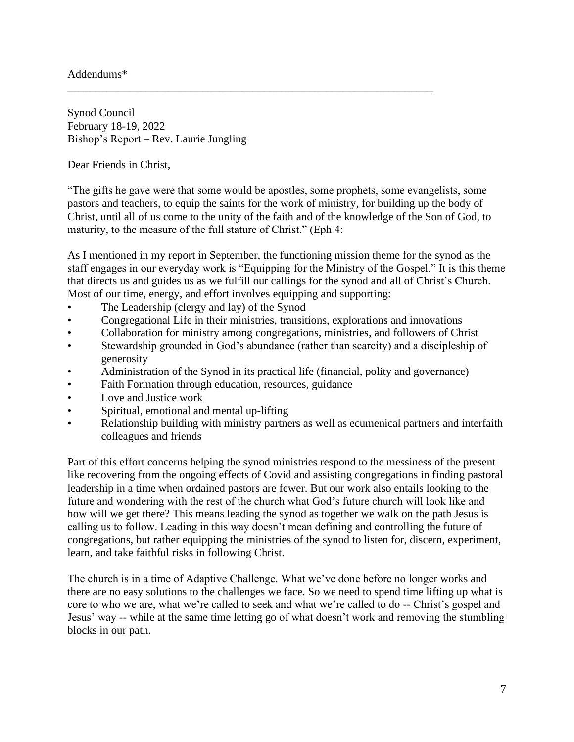## Addendums\*

Synod Council February 18-19, 2022 Bishop's Report – Rev. Laurie Jungling

Dear Friends in Christ,

"The gifts he gave were that some would be apostles, some prophets, some evangelists, some pastors and teachers, to equip the saints for the work of ministry, for building up the body of Christ, until all of us come to the unity of the faith and of the knowledge of the Son of God, to maturity, to the measure of the full stature of Christ." (Eph 4:

\_\_\_\_\_\_\_\_\_\_\_\_\_\_\_\_\_\_\_\_\_\_\_\_\_\_\_\_\_\_\_\_\_\_\_\_\_\_\_\_\_\_\_\_\_\_\_\_\_\_\_\_\_\_\_\_\_\_\_\_\_\_\_\_\_

As I mentioned in my report in September, the functioning mission theme for the synod as the staff engages in our everyday work is "Equipping for the Ministry of the Gospel." It is this theme that directs us and guides us as we fulfill our callings for the synod and all of Christ's Church. Most of our time, energy, and effort involves equipping and supporting:

- The Leadership (clergy and lay) of the Synod
- Congregational Life in their ministries, transitions, explorations and innovations
- Collaboration for ministry among congregations, ministries, and followers of Christ
- Stewardship grounded in God's abundance (rather than scarcity) and a discipleship of generosity
- Administration of the Synod in its practical life (financial, polity and governance)
- Faith Formation through education, resources, guidance
- Love and Justice work
- Spiritual, emotional and mental up-lifting
- Relationship building with ministry partners as well as ecumenical partners and interfaith colleagues and friends

Part of this effort concerns helping the synod ministries respond to the messiness of the present like recovering from the ongoing effects of Covid and assisting congregations in finding pastoral leadership in a time when ordained pastors are fewer. But our work also entails looking to the future and wondering with the rest of the church what God's future church will look like and how will we get there? This means leading the synod as together we walk on the path Jesus is calling us to follow. Leading in this way doesn't mean defining and controlling the future of congregations, but rather equipping the ministries of the synod to listen for, discern, experiment, learn, and take faithful risks in following Christ.

The church is in a time of Adaptive Challenge. What we've done before no longer works and there are no easy solutions to the challenges we face. So we need to spend time lifting up what is core to who we are, what we're called to seek and what we're called to do -- Christ's gospel and Jesus' way -- while at the same time letting go of what doesn't work and removing the stumbling blocks in our path.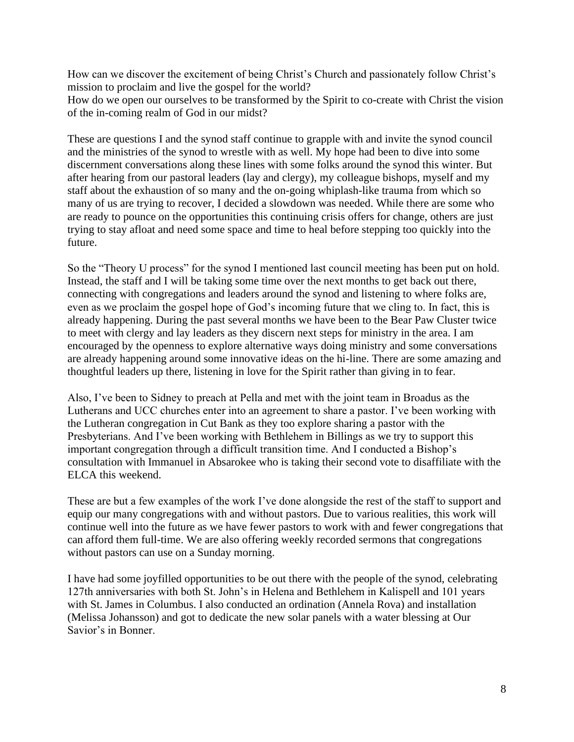How can we discover the excitement of being Christ's Church and passionately follow Christ's mission to proclaim and live the gospel for the world? How do we open our ourselves to be transformed by the Spirit to co-create with Christ the vision of the in-coming realm of God in our midst?

These are questions I and the synod staff continue to grapple with and invite the synod council and the ministries of the synod to wrestle with as well. My hope had been to dive into some discernment conversations along these lines with some folks around the synod this winter. But after hearing from our pastoral leaders (lay and clergy), my colleague bishops, myself and my staff about the exhaustion of so many and the on-going whiplash-like trauma from which so many of us are trying to recover, I decided a slowdown was needed. While there are some who are ready to pounce on the opportunities this continuing crisis offers for change, others are just trying to stay afloat and need some space and time to heal before stepping too quickly into the future.

So the "Theory U process" for the synod I mentioned last council meeting has been put on hold. Instead, the staff and I will be taking some time over the next months to get back out there, connecting with congregations and leaders around the synod and listening to where folks are, even as we proclaim the gospel hope of God's incoming future that we cling to. In fact, this is already happening. During the past several months we have been to the Bear Paw Cluster twice to meet with clergy and lay leaders as they discern next steps for ministry in the area. I am encouraged by the openness to explore alternative ways doing ministry and some conversations are already happening around some innovative ideas on the hi-line. There are some amazing and thoughtful leaders up there, listening in love for the Spirit rather than giving in to fear.

Also, I've been to Sidney to preach at Pella and met with the joint team in Broadus as the Lutherans and UCC churches enter into an agreement to share a pastor. I've been working with the Lutheran congregation in Cut Bank as they too explore sharing a pastor with the Presbyterians. And I've been working with Bethlehem in Billings as we try to support this important congregation through a difficult transition time. And I conducted a Bishop's consultation with Immanuel in Absarokee who is taking their second vote to disaffiliate with the ELCA this weekend.

These are but a few examples of the work I've done alongside the rest of the staff to support and equip our many congregations with and without pastors. Due to various realities, this work will continue well into the future as we have fewer pastors to work with and fewer congregations that can afford them full-time. We are also offering weekly recorded sermons that congregations without pastors can use on a Sunday morning.

I have had some joyfilled opportunities to be out there with the people of the synod, celebrating 127th anniversaries with both St. John's in Helena and Bethlehem in Kalispell and 101 years with St. James in Columbus. I also conducted an ordination (Annela Rova) and installation (Melissa Johansson) and got to dedicate the new solar panels with a water blessing at Our Savior's in Bonner.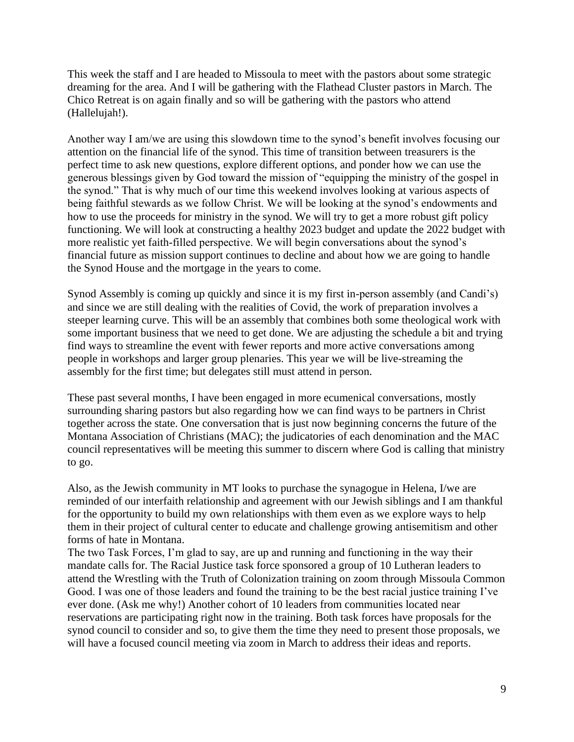This week the staff and I are headed to Missoula to meet with the pastors about some strategic dreaming for the area. And I will be gathering with the Flathead Cluster pastors in March. The Chico Retreat is on again finally and so will be gathering with the pastors who attend (Hallelujah!).

Another way I am/we are using this slowdown time to the synod's benefit involves focusing our attention on the financial life of the synod. This time of transition between treasurers is the perfect time to ask new questions, explore different options, and ponder how we can use the generous blessings given by God toward the mission of "equipping the ministry of the gospel in the synod." That is why much of our time this weekend involves looking at various aspects of being faithful stewards as we follow Christ. We will be looking at the synod's endowments and how to use the proceeds for ministry in the synod. We will try to get a more robust gift policy functioning. We will look at constructing a healthy 2023 budget and update the 2022 budget with more realistic yet faith-filled perspective. We will begin conversations about the synod's financial future as mission support continues to decline and about how we are going to handle the Synod House and the mortgage in the years to come.

Synod Assembly is coming up quickly and since it is my first in-person assembly (and Candi's) and since we are still dealing with the realities of Covid, the work of preparation involves a steeper learning curve. This will be an assembly that combines both some theological work with some important business that we need to get done. We are adjusting the schedule a bit and trying find ways to streamline the event with fewer reports and more active conversations among people in workshops and larger group plenaries. This year we will be live-streaming the assembly for the first time; but delegates still must attend in person.

These past several months, I have been engaged in more ecumenical conversations, mostly surrounding sharing pastors but also regarding how we can find ways to be partners in Christ together across the state. One conversation that is just now beginning concerns the future of the Montana Association of Christians (MAC); the judicatories of each denomination and the MAC council representatives will be meeting this summer to discern where God is calling that ministry to go.

Also, as the Jewish community in MT looks to purchase the synagogue in Helena, I/we are reminded of our interfaith relationship and agreement with our Jewish siblings and I am thankful for the opportunity to build my own relationships with them even as we explore ways to help them in their project of cultural center to educate and challenge growing antisemitism and other forms of hate in Montana.

The two Task Forces, I'm glad to say, are up and running and functioning in the way their mandate calls for. The Racial Justice task force sponsored a group of 10 Lutheran leaders to attend the Wrestling with the Truth of Colonization training on zoom through Missoula Common Good. I was one of those leaders and found the training to be the best racial justice training I've ever done. (Ask me why!) Another cohort of 10 leaders from communities located near reservations are participating right now in the training. Both task forces have proposals for the synod council to consider and so, to give them the time they need to present those proposals, we will have a focused council meeting via zoom in March to address their ideas and reports.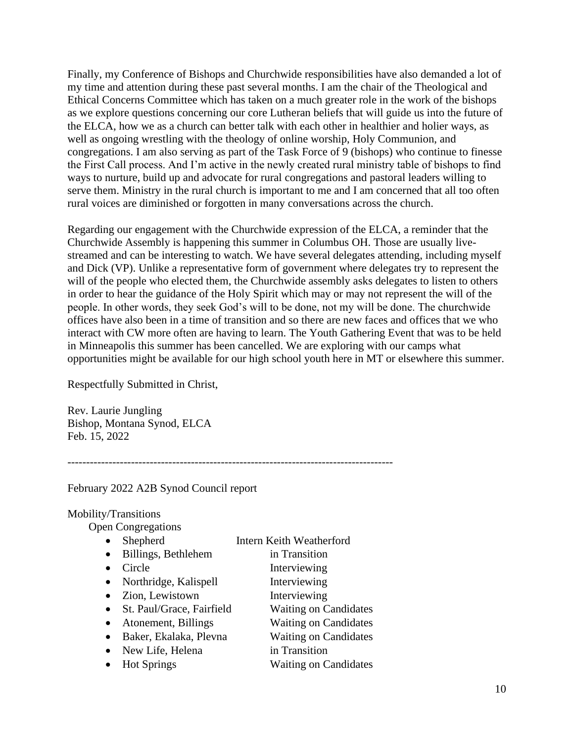Finally, my Conference of Bishops and Churchwide responsibilities have also demanded a lot of my time and attention during these past several months. I am the chair of the Theological and Ethical Concerns Committee which has taken on a much greater role in the work of the bishops as we explore questions concerning our core Lutheran beliefs that will guide us into the future of the ELCA, how we as a church can better talk with each other in healthier and holier ways, as well as ongoing wrestling with the theology of online worship, Holy Communion, and congregations. I am also serving as part of the Task Force of 9 (bishops) who continue to finesse the First Call process. And I'm active in the newly created rural ministry table of bishops to find ways to nurture, build up and advocate for rural congregations and pastoral leaders willing to serve them. Ministry in the rural church is important to me and I am concerned that all too often rural voices are diminished or forgotten in many conversations across the church.

Regarding our engagement with the Churchwide expression of the ELCA, a reminder that the Churchwide Assembly is happening this summer in Columbus OH. Those are usually livestreamed and can be interesting to watch. We have several delegates attending, including myself and Dick (VP). Unlike a representative form of government where delegates try to represent the will of the people who elected them, the Churchwide assembly asks delegates to listen to others in order to hear the guidance of the Holy Spirit which may or may not represent the will of the people. In other words, they seek God's will to be done, not my will be done. The churchwide offices have also been in a time of transition and so there are new faces and offices that we who interact with CW more often are having to learn. The Youth Gathering Event that was to be held in Minneapolis this summer has been cancelled. We are exploring with our camps what opportunities might be available for our high school youth here in MT or elsewhere this summer.

Respectfully Submitted in Christ,

Rev. Laurie Jungling Bishop, Montana Synod, ELCA Feb. 15, 2022

February 2022 A2B Synod Council report

#### Mobility/Transitions

Open Congregations

| Shepherd                  | Intern Keith Weatherford     |
|---------------------------|------------------------------|
| Billings, Bethlehem       | in Transition                |
| Circle                    | Interviewing                 |
| Northridge, Kalispell     | Interviewing                 |
| Zion, Lewistown           | Interviewing                 |
| St. Paul/Grace, Fairfield | <b>Waiting on Candidates</b> |
| Atonement, Billings       | <b>Waiting on Candidates</b> |
| Baker, Ekalaka, Plevna    | <b>Waiting on Candidates</b> |
| New Life, Helena          | in Transition                |
| <b>Hot Springs</b>        | <b>Waiting on Candidates</b> |

---------------------------------------------------------------------------------------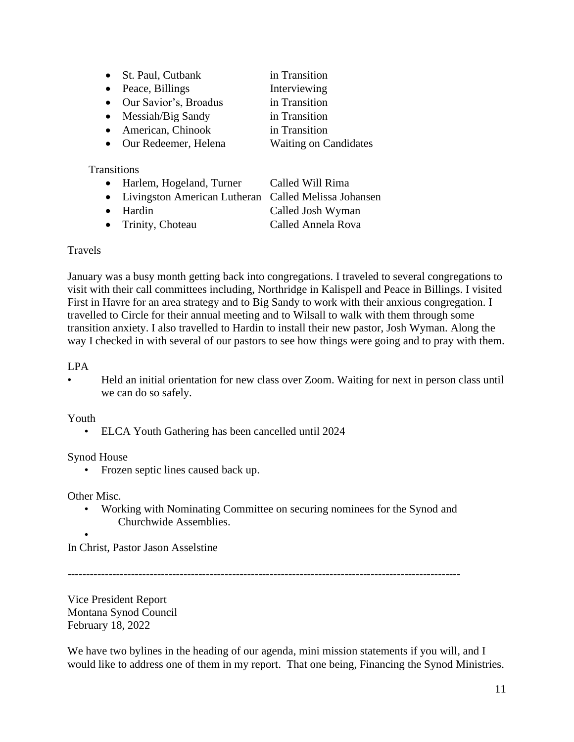- St. Paul, Cutbank in Transition
- Peace, Billings Interviewing
- Our Savior's, Broadus in Transition
- Messiah/Big Sandy in Transition
- American, Chinook in Transition
- Our Redeemer, Helena Waiting on Candidates

**Transitions** 

- Harlem, Hogeland, Turner Called Will Rima
- Livingston American Lutheran Called Melissa Johansen
- Hardin Called Josh Wyman
- Trinity, Choteau Called Annela Rova

## Travels

January was a busy month getting back into congregations. I traveled to several congregations to visit with their call committees including, Northridge in Kalispell and Peace in Billings. I visited First in Havre for an area strategy and to Big Sandy to work with their anxious congregation. I travelled to Circle for their annual meeting and to Wilsall to walk with them through some transition anxiety. I also travelled to Hardin to install their new pastor, Josh Wyman. Along the way I checked in with several of our pastors to see how things were going and to pray with them.

# LPA

• Held an initial orientation for new class over Zoom. Waiting for next in person class until we can do so safely.

#### Youth

• ELCA Youth Gathering has been cancelled until 2024

# Synod House

• Frozen septic lines caused back up.

Other Misc.

- Working with Nominating Committee on securing nominees for the Synod and Churchwide Assemblies.
- •

In Christ, Pastor Jason Asselstine

---------------------------------------------------------------------------------------------------------

Vice President Report Montana Synod Council February 18, 2022

We have two bylines in the heading of our agenda, mini mission statements if you will, and I would like to address one of them in my report. That one being, Financing the Synod Ministries.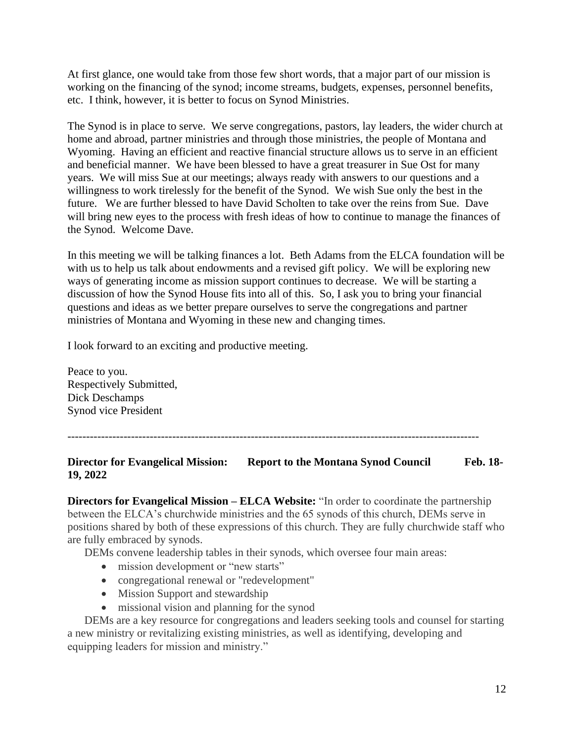At first glance, one would take from those few short words, that a major part of our mission is working on the financing of the synod; income streams, budgets, expenses, personnel benefits, etc. I think, however, it is better to focus on Synod Ministries.

The Synod is in place to serve. We serve congregations, pastors, lay leaders, the wider church at home and abroad, partner ministries and through those ministries, the people of Montana and Wyoming. Having an efficient and reactive financial structure allows us to serve in an efficient and beneficial manner. We have been blessed to have a great treasurer in Sue Ost for many years. We will miss Sue at our meetings; always ready with answers to our questions and a willingness to work tirelessly for the benefit of the Synod. We wish Sue only the best in the future. We are further blessed to have David Scholten to take over the reins from Sue. Dave will bring new eyes to the process with fresh ideas of how to continue to manage the finances of the Synod. Welcome Dave.

In this meeting we will be talking finances a lot. Beth Adams from the ELCA foundation will be with us to help us talk about endowments and a revised gift policy. We will be exploring new ways of generating income as mission support continues to decrease. We will be starting a discussion of how the Synod House fits into all of this. So, I ask you to bring your financial questions and ideas as we better prepare ourselves to serve the congregations and partner ministries of Montana and Wyoming in these new and changing times.

I look forward to an exciting and productive meeting.

Peace to you. Respectively Submitted, Dick Deschamps Synod vice President

--------------------------------------------------------------------------------------------------------------

#### **Director for Evangelical Mission: Report to the Montana Synod Council Feb. 18- 19, 2022**

**Directors for Evangelical Mission – ELCA Website:** "In order to coordinate the partnership between the ELCA's churchwide ministries and the 65 synods of this church, DEMs serve in positions shared by both of these expressions of this church. They are fully churchwide staff who are fully embraced by synods.

DEMs convene leadership tables in their synods, which oversee four main areas:

- mission development or "new starts"
- congregational renewal or "redevelopment"
- Mission Support and stewardship
- missional vision and planning for the synod

 DEMs are a key resource for congregations and leaders seeking tools and counsel for starting a new ministry or revitalizing existing ministries, as well as identifying, developing and equipping leaders for mission and ministry."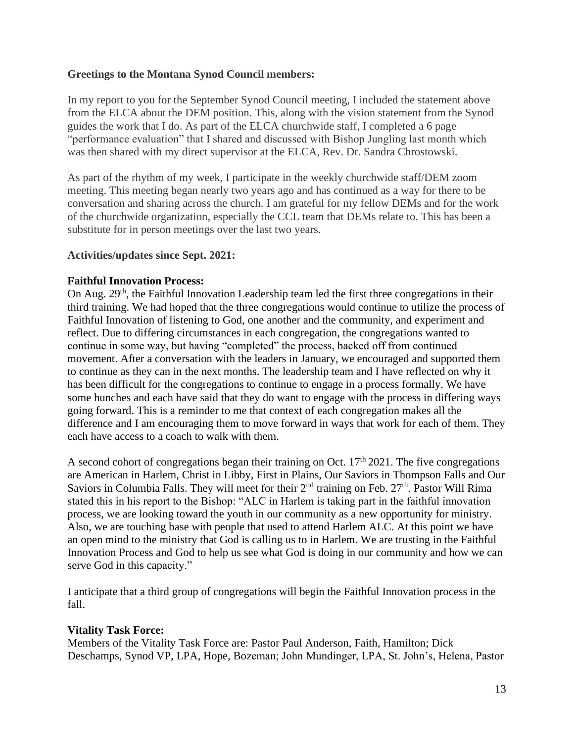## **Greetings to the Montana Synod Council members:**

In my report to you for the September Synod Council meeting, I included the statement above from the ELCA about the DEM position. This, along with the vision statement from the Synod guides the work that I do. As part of the ELCA churchwide staff, I completed a 6 page "performance evaluation" that I shared and discussed with Bishop Jungling last month which was then shared with my direct supervisor at the ELCA, Rev. Dr. Sandra Chrostowski.

As part of the rhythm of my week, I participate in the weekly churchwide staff/DEM zoom meeting. This meeting began nearly two years ago and has continued as a way for there to be conversation and sharing across the church. I am grateful for my fellow DEMs and for the work of the churchwide organization, especially the CCL team that DEMs relate to. This has been a substitute for in person meetings over the last two years.

#### **Activities/updates since Sept. 2021:**

## **Faithful Innovation Process:**

On Aug. 29<sup>th</sup>, the Faithful Innovation Leadership team led the first three congregations in their third training. We had hoped that the three congregations would continue to utilize the process of Faithful Innovation of listening to God, one another and the community, and experiment and reflect. Due to differing circumstances in each congregation, the congregations wanted to continue in some way, but having "completed" the process, backed off from continued movement. After a conversation with the leaders in January, we encouraged and supported them to continue as they can in the next months. The leadership team and I have reflected on why it has been difficult for the congregations to continue to engage in a process formally. We have some hunches and each have said that they do want to engage with the process in differing ways going forward. This is a reminder to me that context of each congregation makes all the difference and I am encouraging them to move forward in ways that work for each of them. They each have access to a coach to walk with them.

A second cohort of congregations began their training on Oct.  $17<sup>th</sup> 2021$ . The five congregations are American in Harlem, Christ in Libby, First in Plains, Our Saviors in Thompson Falls and Our Saviors in Columbia Falls. They will meet for their  $2<sup>nd</sup>$  training on Feb.  $27<sup>th</sup>$ . Pastor Will Rima stated this in his report to the Bishop: "ALC in Harlem is taking part in the faithful innovation process, we are looking toward the youth in our community as a new opportunity for ministry. Also, we are touching base with people that used to attend Harlem ALC. At this point we have an open mind to the ministry that God is calling us to in Harlem. We are trusting in the Faithful Innovation Process and God to help us see what God is doing in our community and how we can serve God in this capacity."

I anticipate that a third group of congregations will begin the Faithful Innovation process in the fall.

#### **Vitality Task Force:**

Members of the Vitality Task Force are: Pastor Paul Anderson, Faith, Hamilton; Dick Deschamps, Synod VP, LPA, Hope, Bozeman; John Mundinger, LPA, St. John's, Helena, Pastor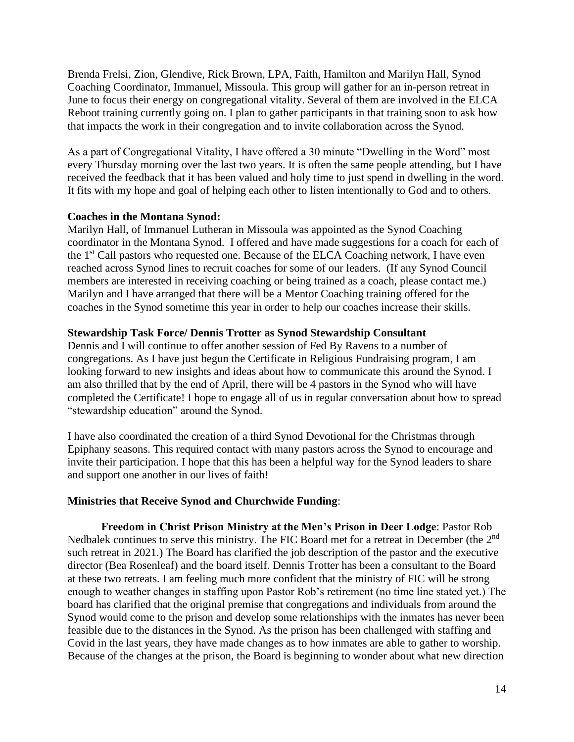Brenda Frelsi, Zion, Glendive, Rick Brown, LPA, Faith, Hamilton and Marilyn Hall, Synod Coaching Coordinator, Immanuel, Missoula. This group will gather for an in-person retreat in June to focus their energy on congregational vitality. Several of them are involved in the ELCA Reboot training currently going on. I plan to gather participants in that training soon to ask how that impacts the work in their congregation and to invite collaboration across the Synod.

As a part of Congregational Vitality, I have offered a 30 minute "Dwelling in the Word" most every Thursday morning over the last two years. It is often the same people attending, but I have received the feedback that it has been valued and holy time to just spend in dwelling in the word. It fits with my hope and goal of helping each other to listen intentionally to God and to others.

## **Coaches in the Montana Synod:**

Marilyn Hall, of Immanuel Lutheran in Missoula was appointed as the Synod Coaching coordinator in the Montana Synod. I offered and have made suggestions for a coach for each of the 1<sup>st</sup> Call pastors who requested one. Because of the ELCA Coaching network, I have even reached across Synod lines to recruit coaches for some of our leaders. (If any Synod Council members are interested in receiving coaching or being trained as a coach, please contact me.) Marilyn and I have arranged that there will be a Mentor Coaching training offered for the coaches in the Synod sometime this year in order to help our coaches increase their skills.

#### **Stewardship Task Force/ Dennis Trotter as Synod Stewardship Consultant**

Dennis and I will continue to offer another session of Fed By Ravens to a number of congregations. As I have just begun the Certificate in Religious Fundraising program, I am looking forward to new insights and ideas about how to communicate this around the Synod. I am also thrilled that by the end of April, there will be 4 pastors in the Synod who will have completed the Certificate! I hope to engage all of us in regular conversation about how to spread "stewardship education" around the Synod.

I have also coordinated the creation of a third Synod Devotional for the Christmas through Epiphany seasons. This required contact with many pastors across the Synod to encourage and invite their participation. I hope that this has been a helpful way for the Synod leaders to share and support one another in our lives of faith!

# **Ministries that Receive Synod and Churchwide Funding**:

**Freedom in Christ Prison Ministry at the Men's Prison in Deer Lodge**: Pastor Rob Nedbalek continues to serve this ministry. The FIC Board met for a retreat in December (the 2nd such retreat in 2021.) The Board has clarified the job description of the pastor and the executive director (Bea Rosenleaf) and the board itself. Dennis Trotter has been a consultant to the Board at these two retreats. I am feeling much more confident that the ministry of FIC will be strong enough to weather changes in staffing upon Pastor Rob's retirement (no time line stated yet.) The board has clarified that the original premise that congregations and individuals from around the Synod would come to the prison and develop some relationships with the inmates has never been feasible due to the distances in the Synod. As the prison has been challenged with staffing and Covid in the last years, they have made changes as to how inmates are able to gather to worship. Because of the changes at the prison, the Board is beginning to wonder about what new direction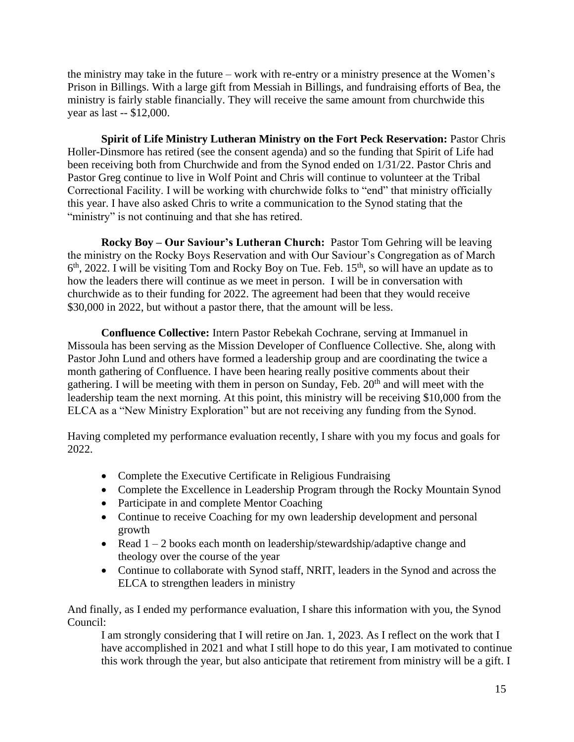the ministry may take in the future – work with re-entry or a ministry presence at the Women's Prison in Billings. With a large gift from Messiah in Billings, and fundraising efforts of Bea, the ministry is fairly stable financially. They will receive the same amount from churchwide this year as last -- \$12,000.

**Spirit of Life Ministry Lutheran Ministry on the Fort Peck Reservation: Pastor Chris** Holler-Dinsmore has retired (see the consent agenda) and so the funding that Spirit of Life had been receiving both from Churchwide and from the Synod ended on 1/31/22. Pastor Chris and Pastor Greg continue to live in Wolf Point and Chris will continue to volunteer at the Tribal Correctional Facility. I will be working with churchwide folks to "end" that ministry officially this year. I have also asked Chris to write a communication to the Synod stating that the "ministry" is not continuing and that she has retired.

**Rocky Boy – Our Saviour's Lutheran Church:** Pastor Tom Gehring will be leaving the ministry on the Rocky Boys Reservation and with Our Saviour's Congregation as of March  $6<sup>th</sup>$ , 2022. I will be visiting Tom and Rocky Boy on Tue. Feb. 15<sup>th</sup>, so will have an update as to how the leaders there will continue as we meet in person. I will be in conversation with churchwide as to their funding for 2022. The agreement had been that they would receive \$30,000 in 2022, but without a pastor there, that the amount will be less.

**Confluence Collective:** Intern Pastor Rebekah Cochrane, serving at Immanuel in Missoula has been serving as the Mission Developer of Confluence Collective. She, along with Pastor John Lund and others have formed a leadership group and are coordinating the twice a month gathering of Confluence. I have been hearing really positive comments about their gathering. I will be meeting with them in person on Sunday, Feb.  $20<sup>th</sup>$  and will meet with the leadership team the next morning. At this point, this ministry will be receiving \$10,000 from the ELCA as a "New Ministry Exploration" but are not receiving any funding from the Synod.

Having completed my performance evaluation recently, I share with you my focus and goals for 2022.

- Complete the Executive Certificate in Religious Fundraising
- Complete the Excellence in Leadership Program through the Rocky Mountain Synod
- Participate in and complete Mentor Coaching
- Continue to receive Coaching for my own leadership development and personal growth
- Read  $1 2$  books each month on leadership/stewardship/adaptive change and theology over the course of the year
- Continue to collaborate with Synod staff, NRIT, leaders in the Synod and across the ELCA to strengthen leaders in ministry

And finally, as I ended my performance evaluation, I share this information with you, the Synod Council:

I am strongly considering that I will retire on Jan. 1, 2023. As I reflect on the work that I have accomplished in 2021 and what I still hope to do this year, I am motivated to continue this work through the year, but also anticipate that retirement from ministry will be a gift. I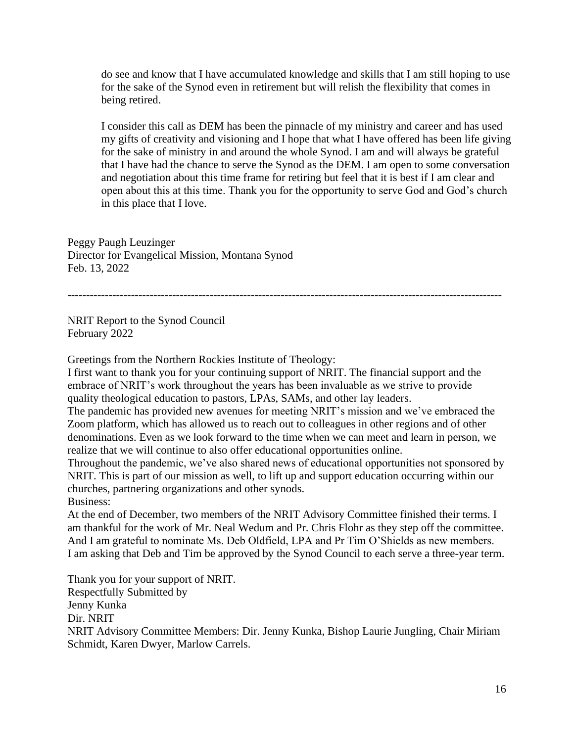do see and know that I have accumulated knowledge and skills that I am still hoping to use for the sake of the Synod even in retirement but will relish the flexibility that comes in being retired.

I consider this call as DEM has been the pinnacle of my ministry and career and has used my gifts of creativity and visioning and I hope that what I have offered has been life giving for the sake of ministry in and around the whole Synod. I am and will always be grateful that I have had the chance to serve the Synod as the DEM. I am open to some conversation and negotiation about this time frame for retiring but feel that it is best if I am clear and open about this at this time. Thank you for the opportunity to serve God and God's church in this place that I love.

Peggy Paugh Leuzinger Director for Evangelical Mission, Montana Synod Feb. 13, 2022

--------------------------------------------------------------------------------------------------------------------

NRIT Report to the Synod Council February 2022

Greetings from the Northern Rockies Institute of Theology:

I first want to thank you for your continuing support of NRIT. The financial support and the embrace of NRIT's work throughout the years has been invaluable as we strive to provide quality theological education to pastors, LPAs, SAMs, and other lay leaders.

The pandemic has provided new avenues for meeting NRIT's mission and we've embraced the Zoom platform, which has allowed us to reach out to colleagues in other regions and of other denominations. Even as we look forward to the time when we can meet and learn in person, we realize that we will continue to also offer educational opportunities online.

Throughout the pandemic, we've also shared news of educational opportunities not sponsored by NRIT. This is part of our mission as well, to lift up and support education occurring within our churches, partnering organizations and other synods. Business:

At the end of December, two members of the NRIT Advisory Committee finished their terms. I am thankful for the work of Mr. Neal Wedum and Pr. Chris Flohr as they step off the committee. And I am grateful to nominate Ms. Deb Oldfield, LPA and Pr Tim O'Shields as new members. I am asking that Deb and Tim be approved by the Synod Council to each serve a three-year term.

Thank you for your support of NRIT. Respectfully Submitted by Jenny Kunka Dir. NRIT NRIT Advisory Committee Members: Dir. Jenny Kunka, Bishop Laurie Jungling, Chair Miriam Schmidt, Karen Dwyer, Marlow Carrels.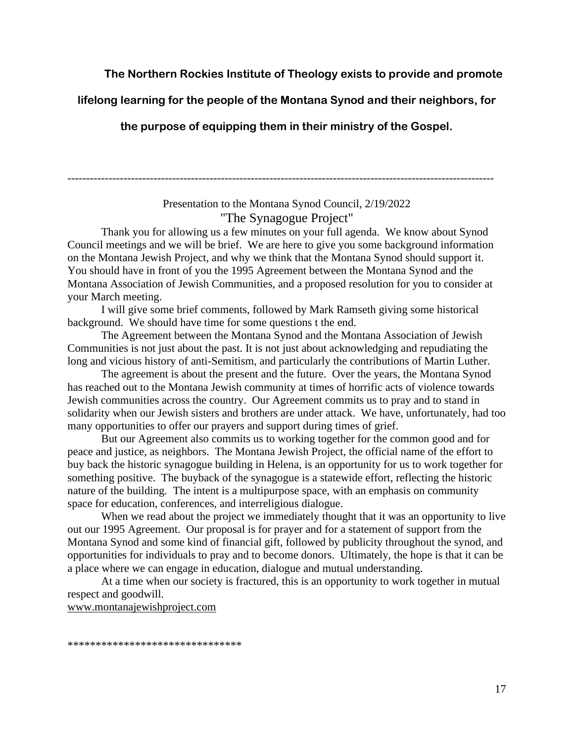#### **The Northern Rockies Institute of Theology exists to provide and promote**

**lifelong learning for the people of the Montana Synod and their neighbors, for** 

**the purpose of equipping them in their ministry of the Gospel.**

Presentation to the Montana Synod Council, 2/19/2022 "The Synagogue Project"

------------------------------------------------------------------------------------------------------------------

Thank you for allowing us a few minutes on your full agenda. We know about Synod Council meetings and we will be brief. We are here to give you some background information on the Montana Jewish Project, and why we think that the Montana Synod should support it. You should have in front of you the 1995 Agreement between the Montana Synod and the Montana Association of Jewish Communities, and a proposed resolution for you to consider at your March meeting.

I will give some brief comments, followed by Mark Ramseth giving some historical background. We should have time for some questions t the end.

The Agreement between the Montana Synod and the Montana Association of Jewish Communities is not just about the past. It is not just about acknowledging and repudiating the long and vicious history of anti-Semitism, and particularly the contributions of Martin Luther.

The agreement is about the present and the future. Over the years, the Montana Synod has reached out to the Montana Jewish community at times of horrific acts of violence towards Jewish communities across the country. Our Agreement commits us to pray and to stand in solidarity when our Jewish sisters and brothers are under attack. We have, unfortunately, had too many opportunities to offer our prayers and support during times of grief.

But our Agreement also commits us to working together for the common good and for peace and justice, as neighbors. The Montana Jewish Project, the official name of the effort to buy back the historic synagogue building in Helena, is an opportunity for us to work together for something positive. The buyback of the synagogue is a statewide effort, reflecting the historic nature of the building. The intent is a multipurpose space, with an emphasis on community space for education, conferences, and interreligious dialogue.

When we read about the project we immediately thought that it was an opportunity to live out our 1995 Agreement. Our proposal is for prayer and for a statement of support from the Montana Synod and some kind of financial gift, followed by publicity throughout the synod, and opportunities for individuals to pray and to become donors. Ultimately, the hope is that it can be a place where we can engage in education, dialogue and mutual understanding.

At a time when our society is fractured, this is an opportunity to work together in mutual respect and goodwill.

www.montanajewishproject.com

\*\*\*\*\*\*\*\*\*\*\*\*\*\*\*\*\*\*\*\*\*\*\*\*\*\*\*\*\*\*\*